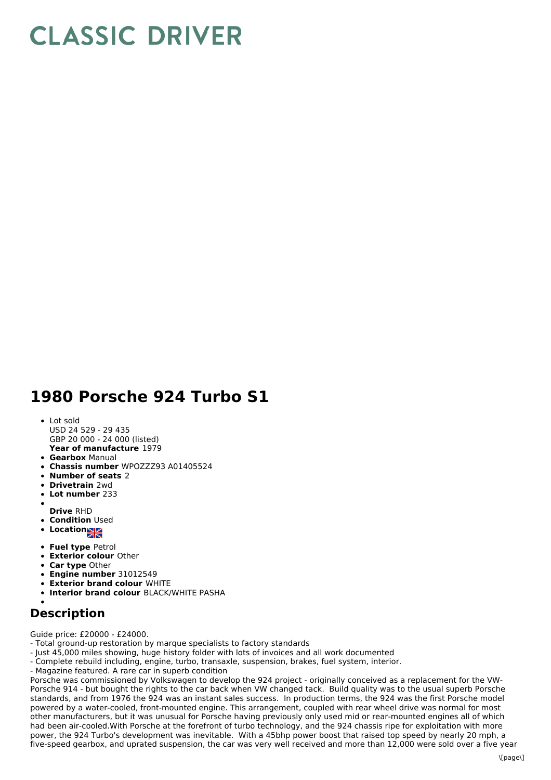## **CLASSIC DRIVER**

## **1980 Porsche 924 Turbo S1**

- **Year of manufacture** 1979 Lot sold USD 24 529 - 29 435 GBP 20 000 - 24 000 (listed)
- **Gearbox** Manual
- **Chassis number** WPOZZZ93 A01405524
- **Number of seats** 2
- **Drivetrain** 2wd
- **Lot number** 233
- **Drive** RHD
- **Condition Used**
- **Location**
- 
- **Fuel type** Petrol
- **Exterior colour** Other
- **Car type** Other
- **Engine number** 31012549
- **Exterior brand colour** WHITE
- **Interior brand colour** BLACK/WHITE PASHA

## **Description**

Guide price: £20000 - £24000.

- Total ground-up restoration by marque specialists to factory standards
- Just 45,000 miles showing, huge history folder with lots of invoices and all work documented
- Complete rebuild including, engine, turbo, transaxle, suspension, brakes, fuel system, interior.
- Magazine featured. A rare car in superb condition

Porsche was commissioned by Volkswagen to develop the 924 project - originally conceived as a replacement for the VW-Porsche 914 - but bought the rights to the car back when VW changed tack. Build quality was to the usual superb Porsche standards, and from 1976 the 924 was an instant sales success. In production terms, the 924 was the first Porsche model powered by a water-cooled, front-mounted engine. This arrangement, coupled with rear wheel drive was normal for most other manufacturers, but it was unusual for Porsche having previously only used mid or rear-mounted engines all of which had been air-cooled.With Porsche at the forefront of turbo technology, and the 924 chassis ripe for exploitation with more power, the 924 Turbo's development was inevitable. With a 45bhp power boost that raised top speed by nearly 20 mph, a five-speed gearbox, and uprated suspension, the car was very well received and more than 12,000 were sold over a five year